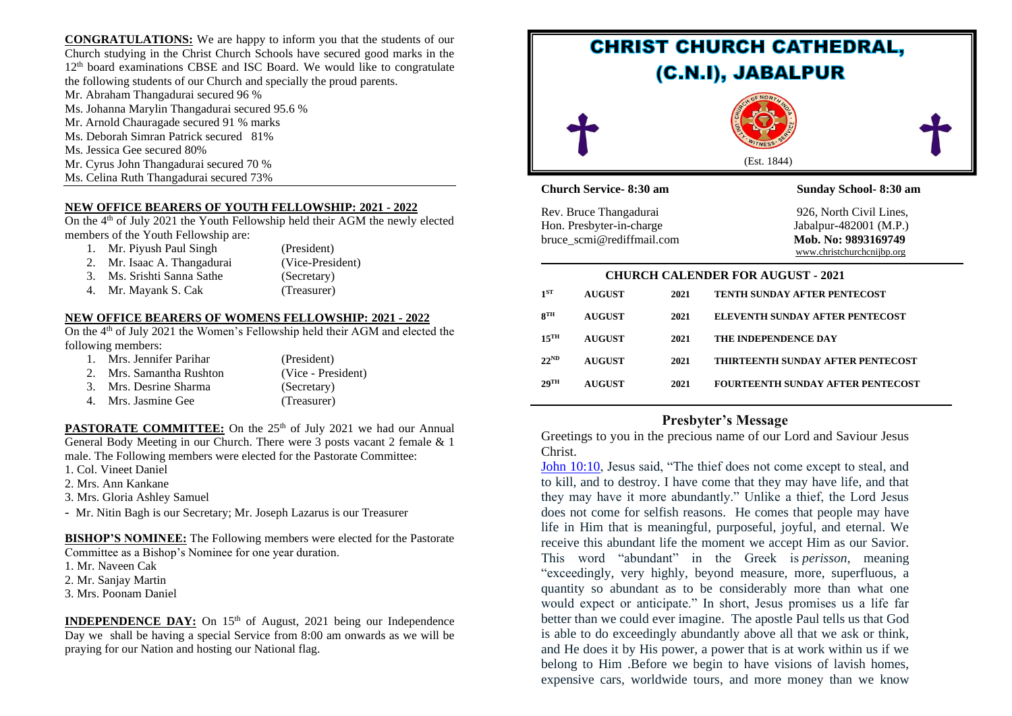**CONGRATULATIONS:** We are happy to inform you that the students of our Church studying in the Christ Church Schools have secured good marks in the  $12<sup>th</sup>$  board examinations CBSE and ISC Board. We would like to congratulate the following students of our Church and specially the proud parents.

- Mr. Abraham Thangadurai secured 96 %
- Ms. Johanna Marylin Thangadurai secured 95.6 %
- Mr. Arnold Chauragade secured 91 % marks
- Ms. Deborah Simran Patrick secured 81%
- Ms. Jessica Gee secured 80%
- Mr. Cyrus John Thangadurai secured 70 %
- Ms. Celina Ruth Thangadurai secured 73%

### **NEW OFFICE BEARERS OF YOUTH FELLOWSHIP: 2021 - 2022**

On the 4<sup>th</sup> of July 2021 the Youth Fellowship held their AGM the newly elected members of the Youth Fellowship are:

- 1. Mr. Piyush Paul Singh (President) 2. Mr. Isaac A. Thangadurai (Vice-President) 3. Ms. Srishti Sanna Sathe (Secretary)
- 4. Mr. Mayank S. Cak (Treasurer)
- 

### **NEW OFFICE BEARERS OF WOMENS FELLOWSHIP: 2021 - 2022**

On the 4<sup>th</sup> of July 2021 the Women's Fellowship held their AGM and elected the following members:

| 1. Mrs. Jennifer Parihar | (President)        |
|--------------------------|--------------------|
| 2. Mrs. Samantha Rushton | (Vice - President) |
| 3. Mrs. Desrine Sharma   | (Secretary)        |
| Mrs. Jasmine Gee         | (Treasurer)        |

**PASTORATE COMMITTEE:** On the 25<sup>th</sup> of July 2021 we had our Annual General Body Meeting in our Church. There were 3 posts vacant 2 female & 1 male. The Following members were elected for the Pastorate Committee:

- 1. Col. Vineet Daniel
- 2. Mrs. Ann Kankane
- 3. Mrs. Gloria Ashley Samuel

- Mr. Nitin Bagh is our Secretary; Mr. Joseph Lazarus is our Treasurer

**BISHOP'S NOMINEE:** The Following members were elected for the Pastorate Committee as a Bishop's Nominee for one year duration.

- 1. Mr. Naveen Cak
- 2. Mr. Sanjay Martin
- 3. Mrs. Poonam Daniel

**INDEPENDENCE DAY:** On 15<sup>th</sup> of August, 2021 being our Independence Day we shall be having a special Service from 8:00 am onwards as we will be praying for our Nation and hosting our National flag.



# **Presbyter's Message**

Greetings to you in the precious name of our Lord and Saviour Jesus Christ.

[John 10:10,](https://biblia.com/bible/esv/John%2010.10) Jesus said, "The thief does not come except to steal, and to kill, and to destroy. I have come that they may have life, and that they may have it more abundantly." Unlike a thief, the Lord Jesus does not come for selfish reasons. He comes that people may have life in Him that is meaningful, purposeful, joyful, and eternal. We receive this abundant life the moment we accept Him as our Savior. This word "abundant" in the Greek is *perisson*, meaning "exceedingly, very highly, beyond measure, more, superfluous, a quantity so abundant as to be considerably more than what one would expect or anticipate." In short, Jesus promises us a life far better than we could ever imagine. The apostle Paul tells us that God is able to do exceedingly abundantly above all that we ask or think, and He does it by His power, a power that is at work within us if we belong to Him .Before we begin to have visions of lavish homes, expensive cars, worldwide tours, and more money than we know